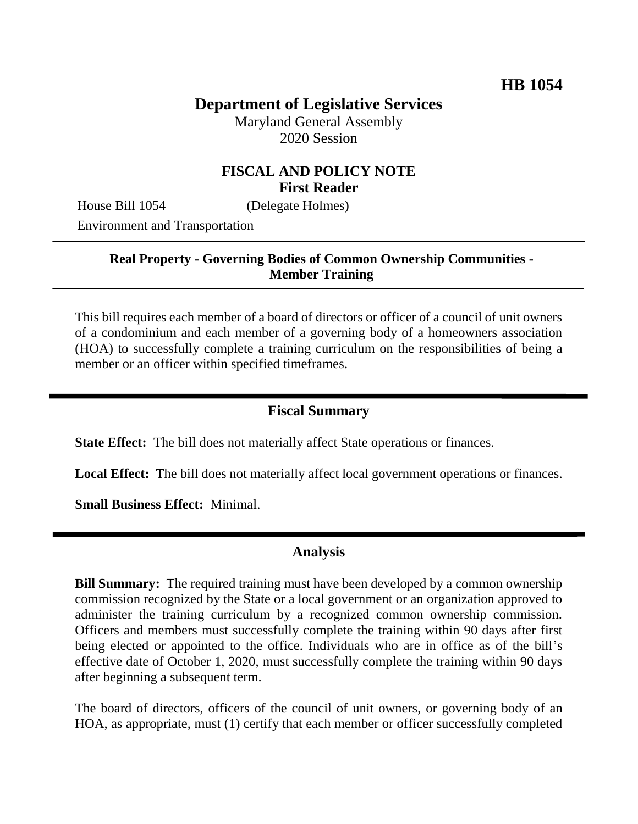## **Department of Legislative Services**

Maryland General Assembly 2020 Session

#### **FISCAL AND POLICY NOTE First Reader**

House Bill 1054 (Delegate Holmes)

Environment and Transportation

#### **Real Property - Governing Bodies of Common Ownership Communities - Member Training**

This bill requires each member of a board of directors or officer of a council of unit owners of a condominium and each member of a governing body of a homeowners association (HOA) to successfully complete a training curriculum on the responsibilities of being a member or an officer within specified timeframes.

### **Fiscal Summary**

**State Effect:** The bill does not materially affect State operations or finances.

**Local Effect:** The bill does not materially affect local government operations or finances.

**Small Business Effect:** Minimal.

#### **Analysis**

**Bill Summary:** The required training must have been developed by a common ownership commission recognized by the State or a local government or an organization approved to administer the training curriculum by a recognized common ownership commission. Officers and members must successfully complete the training within 90 days after first being elected or appointed to the office. Individuals who are in office as of the bill's effective date of October 1, 2020, must successfully complete the training within 90 days after beginning a subsequent term.

The board of directors, officers of the council of unit owners, or governing body of an HOA, as appropriate, must (1) certify that each member or officer successfully completed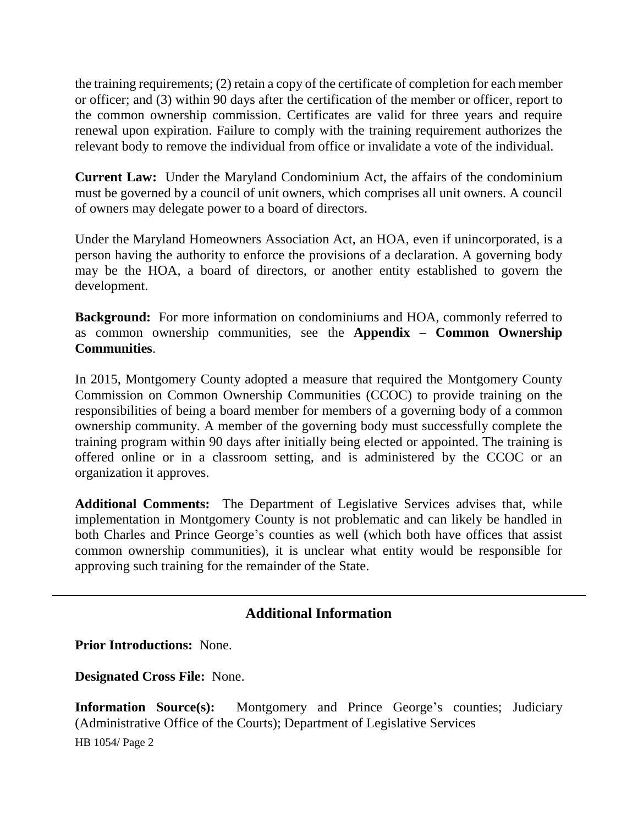the training requirements; (2) retain a copy of the certificate of completion for each member or officer; and (3) within 90 days after the certification of the member or officer, report to the common ownership commission. Certificates are valid for three years and require renewal upon expiration. Failure to comply with the training requirement authorizes the relevant body to remove the individual from office or invalidate a vote of the individual.

**Current Law:** Under the Maryland Condominium Act, the affairs of the condominium must be governed by a council of unit owners, which comprises all unit owners. A council of owners may delegate power to a board of directors.

Under the Maryland Homeowners Association Act, an HOA, even if unincorporated, is a person having the authority to enforce the provisions of a declaration. A governing body may be the HOA, a board of directors, or another entity established to govern the development.

**Background:** For more information on condominiums and HOA, commonly referred to as common ownership communities, see the **Appendix – Common Ownership Communities**.

In 2015, Montgomery County adopted a measure that required the Montgomery County Commission on Common Ownership Communities (CCOC) to provide training on the responsibilities of being a board member for members of a governing body of a common ownership community. A member of the governing body must successfully complete the training program within 90 days after initially being elected or appointed. The training is offered online or in a classroom setting, and is administered by the CCOC or an organization it approves.

**Additional Comments:** The Department of Legislative Services advises that, while implementation in Montgomery County is not problematic and can likely be handled in both Charles and Prince George's counties as well (which both have offices that assist common ownership communities), it is unclear what entity would be responsible for approving such training for the remainder of the State.

## **Additional Information**

**Prior Introductions:** None.

**Designated Cross File:** None.

HB 1054/ Page 2 **Information Source(s):** Montgomery and Prince George's counties; Judiciary (Administrative Office of the Courts); Department of Legislative Services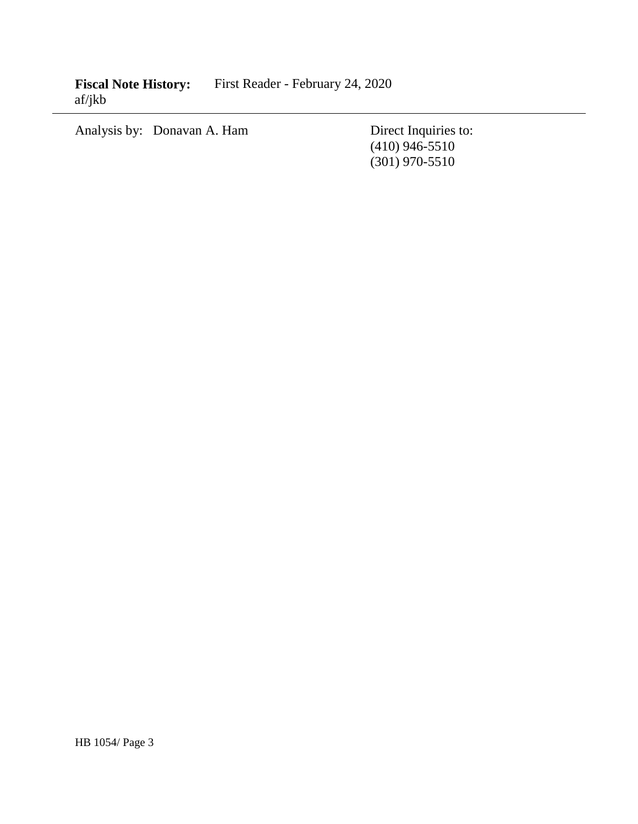Fiscal Note History: First Reader - February 24, 2020 af/jkb

Analysis by: Donavan A. Ham Direct Inquiries to:

(410) 946-5510 (301) 970-5510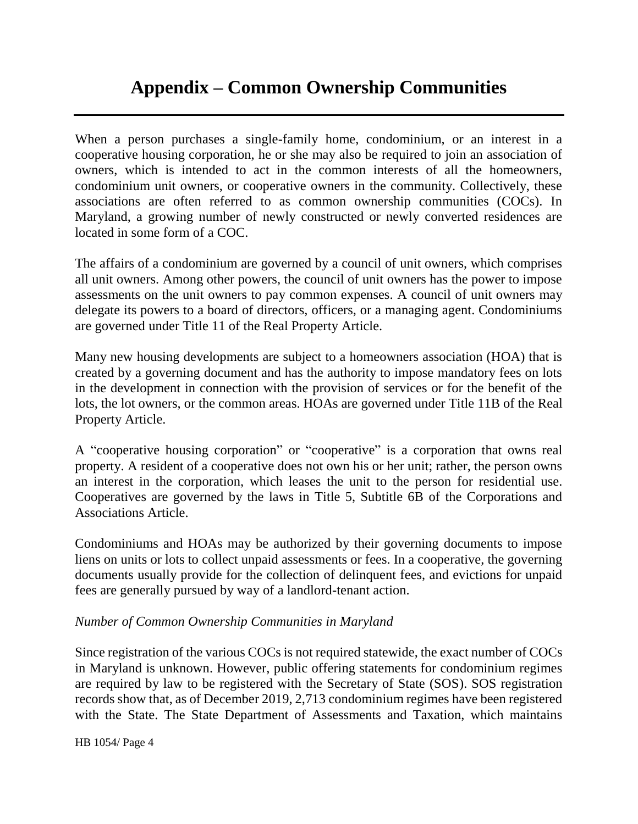# **Appendix – Common Ownership Communities**

When a person purchases a single-family home, condominium, or an interest in a cooperative housing corporation, he or she may also be required to join an association of owners, which is intended to act in the common interests of all the homeowners, condominium unit owners, or cooperative owners in the community. Collectively, these associations are often referred to as common ownership communities (COCs). In Maryland, a growing number of newly constructed or newly converted residences are located in some form of a COC.

The affairs of a condominium are governed by a council of unit owners, which comprises all unit owners. Among other powers, the council of unit owners has the power to impose assessments on the unit owners to pay common expenses. A council of unit owners may delegate its powers to a board of directors, officers, or a managing agent. Condominiums are governed under Title 11 of the Real Property Article.

Many new housing developments are subject to a homeowners association (HOA) that is created by a governing document and has the authority to impose mandatory fees on lots in the development in connection with the provision of services or for the benefit of the lots, the lot owners, or the common areas. HOAs are governed under Title 11B of the Real Property Article.

A "cooperative housing corporation" or "cooperative" is a corporation that owns real property. A resident of a cooperative does not own his or her unit; rather, the person owns an interest in the corporation, which leases the unit to the person for residential use. Cooperatives are governed by the laws in Title 5, Subtitle 6B of the Corporations and Associations Article.

Condominiums and HOAs may be authorized by their governing documents to impose liens on units or lots to collect unpaid assessments or fees. In a cooperative, the governing documents usually provide for the collection of delinquent fees, and evictions for unpaid fees are generally pursued by way of a landlord-tenant action.

#### *Number of Common Ownership Communities in Maryland*

Since registration of the various COCs is not required statewide, the exact number of COCs in Maryland is unknown. However, public offering statements for condominium regimes are required by law to be registered with the Secretary of State (SOS). SOS registration records show that, as of December 2019, 2,713 condominium regimes have been registered with the State. The State Department of Assessments and Taxation, which maintains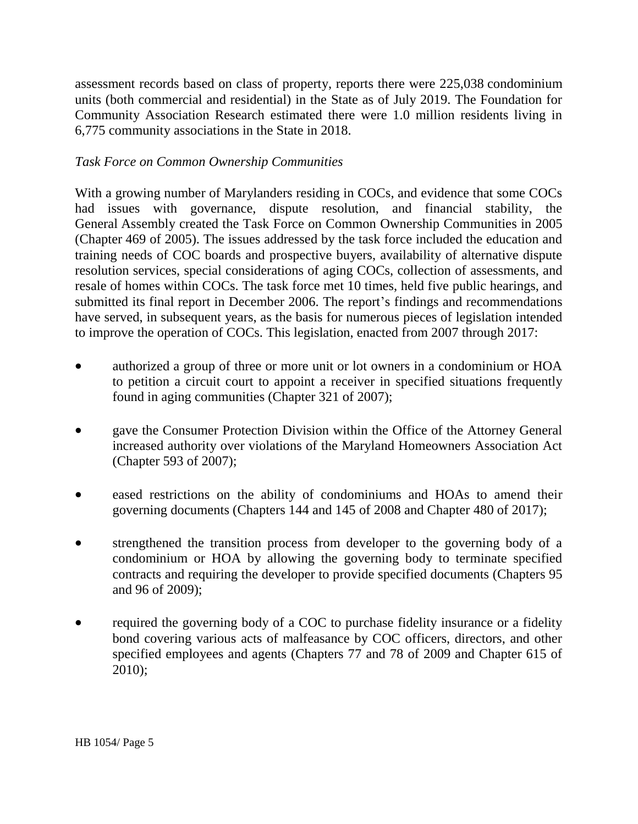assessment records based on class of property, reports there were 225,038 condominium units (both commercial and residential) in the State as of July 2019. The Foundation for Community Association Research estimated there were 1.0 million residents living in 6,775 community associations in the State in 2018.

#### *Task Force on Common Ownership Communities*

With a growing number of Marylanders residing in COCs, and evidence that some COCs had issues with governance, dispute resolution, and financial stability, the General Assembly created the Task Force on Common Ownership Communities in 2005 (Chapter 469 of 2005). The issues addressed by the task force included the education and training needs of COC boards and prospective buyers, availability of alternative dispute resolution services, special considerations of aging COCs, collection of assessments, and resale of homes within COCs. The task force met 10 times, held five public hearings, and submitted its final report in December 2006. The report's findings and recommendations have served, in subsequent years, as the basis for numerous pieces of legislation intended to improve the operation of COCs. This legislation, enacted from 2007 through 2017:

- authorized a group of three or more unit or lot owners in a condominium or HOA to petition a circuit court to appoint a receiver in specified situations frequently found in aging communities (Chapter 321 of 2007);
- gave the Consumer Protection Division within the Office of the Attorney General increased authority over violations of the Maryland Homeowners Association Act (Chapter 593 of 2007);
- eased restrictions on the ability of condominiums and HOAs to amend their governing documents (Chapters 144 and 145 of 2008 and Chapter 480 of 2017);
- strengthened the transition process from developer to the governing body of a condominium or HOA by allowing the governing body to terminate specified contracts and requiring the developer to provide specified documents (Chapters 95 and 96 of 2009);
- required the governing body of a COC to purchase fidelity insurance or a fidelity bond covering various acts of malfeasance by COC officers, directors, and other specified employees and agents (Chapters 77 and 78 of 2009 and Chapter 615 of 2010);